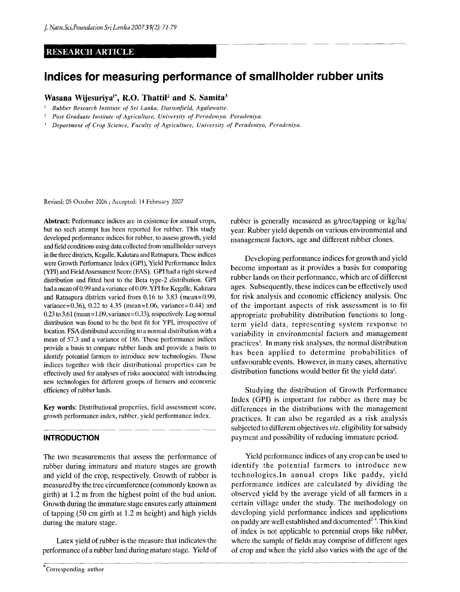# **RESEARCH ARTICLE**

# **Indices for measuring performance of smallholder rubber units**

# **Wasana Wijesuriya<sup>1</sup> \*, R.O. Thattil<sup>2</sup> and S. Samita<sup>3</sup>**

- *1 Rubber Research Institute of Sri Lanka, Dartonfield, Agalawatte.*
- *2 Post Graduate Institute of Agriculture, University of Peradeniya, Peradeniya.*
- *3 Department of Crop Science, Faculty of Agriculture, University of Peradeniya, Peradeniya.*

Revised: 05 October 2006 ; Accepted: 14 February 2007

Abstract: Performance indices are in existence for annual crops, but no such attempt has been reported for rubber. This study developed performance indices for rubber, to assess growth, yield and field conditions using data collected from smallholder surveys in the three districts, Kegalle, Kalutara and Ratnapura. These indices were Growth Performance Index (GP1), Yield Performance Index (YPI) and Field Assessment Score (FAS). GPI had a right skewed distribution and fitted best to the Beta type-2 distribution. GPI had a mean of 0.99 and a variance of 0.09. YPI for Kegalle, Kalutara and Ratnapura districts varied from 0.16 to 3.83 (mean=0.99, variance=0.36), 0.22 to 4.35 (mean=1.06, variance=0.44) and 0.23 to 3.61 (mean=1.09, variance=0.33), respectively. Log normal distribution was found to be the best fit for YPI, irrespective of location. FSA distributed according to a normal distribution with a mean of 57.3 and a variance of 186. These performance indices provide a basis to compare rubber lands and provide a basis to identify potential farmers to introduce new technologies. These indices together with their distributional properties can be effectively used for analyses of risks associated with introducing new technologies for different groups of farmers and economic efficiency of rubber lands.

Key words: Distributional properties, field assessment score, growth performance index, rubber, yield performance index.

# **INTRODUCTION**

The two measurements that assess the performance of rubber during immature and mature stages are growth and yield of the crop, respectively. Growth of rubber is measured by the tree circumference (commonly known as girth) at 1.2 m from the highest point of the bud union. Growth during the immature stage ensures early attainment of tapping (50 cm girth at 1.2 m height) and high yields during the mature stage.

Latex yield of rubber is the measure that indicates the performance of a rubber land during mature stage. Yield of rubber is generally measured as g/tree/tapping or kg/ha/ year. Rubber yield depends on various environmental and management factors, age and different rubber clones.

Developing performance indices for growth and yield become important as it provides a basis for comparing rubber lands on their performance, which are of different ages. Subsequently, these indices can be effectively used for risk analysis and economic efficiency analysis. One of the important aspects of risk assessment is to fit appropriate probability distribution functions to longterm yield data, representing system response to variability in environmental factors and management practices<sup>1</sup>. In many risk analyses, the normal distribution has been applied to determine probabilities of unfavourable events. However, in many cases, alternative distribution functions would better fit the yield data<sup>1</sup>.

Studying the distribution of Growth Performance Index (GPI) is important for rubber as there may be differences in the distributions with the management practices. It can also be regarded as a risk analysis subjected to different objectives *viz.* eligibility for subsidy payment and possibility of reducing immature period.

Yield performance indices of any crop can be used to identify the potential farmers to introduce new technologies.In annual crops like paddy, yield performance indices are calculated by dividing the observed yield by the average yield of all farmers in a certain village under the study. The methodology on developing yield performance indices and applications on paddy are well established and documented $^{2-4}$ . This kind of index is not applicable to perennial crops like rubber, where the sample of fields may comprise of different ages of crop and when the yield also varies with the age of the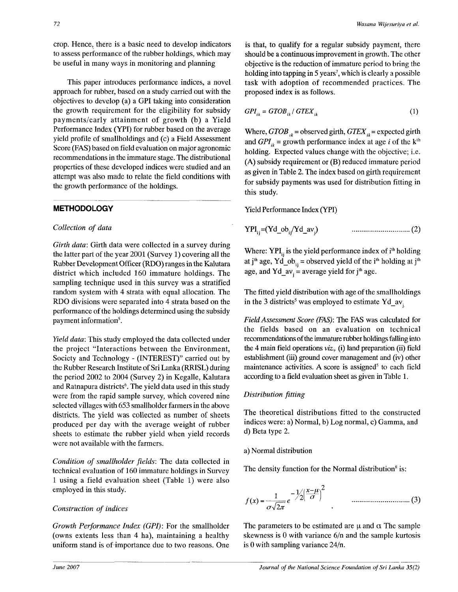crop. Hence, there is a basic need to develop indicators to assess performance of the rubber holdings, which may be useful in many ways in monitoring and planning

This paper introduces performance indices, a novel approach for rubber, based on a study carried out with the objectives to develop (a) a GPI taking into consideration the growth requirement for the eligibility for subsidy payments/early attainment of growth (b) a Yield Performance Index (YPI) for rubber based on the average yield profile of smallholdings and (c) a Field Assessment Score (FAS) based on field evaluation on major agronomic recommendations in the immature stage. The distributional properties of these developed indices were studied and an attempt was also made to relate the field conditions with the growth performance of the holdings.

# **METHODOLOGY**

### *Collection of data*

*Girth data:* Girth data were collected in a survey during the latter part of the year 2001 (Survey 1) covering all the Rubber Development Officer (RDO) ranges in the Kalutara district which included 160 immature holdings. The sampling technique used in this survey was a stratified random system with 4 strata with equal allocation. The RDO divisions were separated into 4 strata based on the performance of the holdings determined using the subsidy payment information<sup>5</sup>.

*Yield data:* This study employed the data collected under the project "Interactions between the Environment, Society and Technology - (INTEREST)" carried out by the Rubber Research Institute of Sri Lanka (RRISL) during the period 2002 to 2004 (Survey 2) in Kegalle, Kalutara and Ratnapura districts<sup>6</sup>. The yield data used in this study were from the rapid sample survey, which covered nine selected villages with 653 smallholder farmers in the above districts. The yield was collected as number of sheets produced per day with the average weight of rubber sheets to estimate the rubber yield when yield records were not available with the farmers.

*Condition of smallholder fields:* The data collected in technical evaluation of 160 immature holdings in Survey 1 using a field evaluation sheet (Table 1) were also employed in this study.

## *Construction of indices*

*Growth Performance Index (GPI)*: For the smallholder (owns extents less than 4 ha), maintaining a healthy uniform stand is of importance due to two reasons. One

is that, to qualify for a regular subsidy payment, there should be a continuous improvement in growth. The other objective is the reduction of immature period to bring the holding into tapping in 5 years<sup>7</sup>, which is clearly a possible task with adoption of recommended practices. The proposed index is as follows.

$$
GPI_{ik} = GTOB_{ik} / GTEX_{ik}
$$
 (1)

Where,  $GTOB<sub>ik</sub>$  = observed girth,  $GTEX<sub>ik</sub>$  = expected girth and  $GPI_{ik}$  = growth performance index at age *i* of the k<sup>th</sup> holding. Expected values change with the objective; i.e. (A) subsidy requirement or (B) reduced immature period as given in Table 2. The index based on girth requirement for subsidy payments was used for distribution fitting in this study.

Yield Performance Index (YPI)

 $YPI_{ii} = (Yd_0b_{ii}/Yd_1av_{ii})$  (2)

Where:  $YPI_{ii}$  is the yield performance index of  $i<sup>th</sup>$  holding at j<sup>th</sup> age, Yd\_ob<sub>.</sub>. = observed yield of the i<sup>th</sup> holding at j<sup>th</sup> age, and  $Yd$ <sub>-</sub> average yield for j<sup>th</sup> age.

The fitted yield distribution with age of the smallholdings in the 3 districts<sup>5</sup> was employed to estimate Yd\_av<sub>i</sub>

*Field Assessment Score (FAS):* The FAS was calculated for the fields based on an evaluation on technical recommendations of the immature rubber holdings falling into the 4 main field operations *viz.,* (i) land preparation (ii) field establishment (iii) ground cover management and (iv) other maintenance activities. A score is assigned<sup>5</sup> to each field according to a field evaluation sheet as given in Table 1.

#### *Distribution fitting*

The theoretical distributions fitted to the constructed indices were: a) Normal, b) Log normal, c) Gamma, and d) Beta type 2.

#### a) Normal distribution

The density function for the Normal distribution<sup>8</sup> is:

$$
f(x) = \frac{1}{\sigma \sqrt{2\pi}} e^{-\frac{1}{2} \left( \frac{x - \mu}{\sigma} \right)^2}
$$
................. (3)

The parameters to be estimated are  $\mu$  and  $\alpha$  The sample skewness is 0 with variance 6/n and the sample kurtosis is 0 with sampling variance 24/n.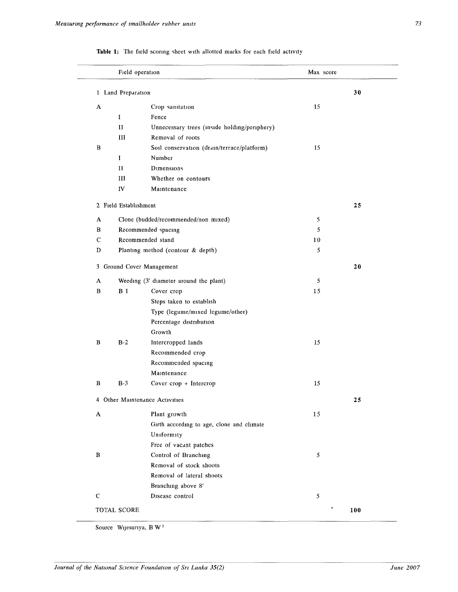|   | Field operation       |                                              | Max score  |     |
|---|-----------------------|----------------------------------------------|------------|-----|
|   | 1 Land Preparation    |                                              |            | 30  |
|   |                       |                                              |            |     |
| A |                       | Crop sanitation                              | 15         |     |
|   | I                     | Fence                                        |            |     |
|   | $\rm{II}$             | Unnecessary trees (inside holding/periphery) |            |     |
|   | Ш                     | Removal of roots                             |            |     |
| В |                       | Soil conservation (drain/terrace/platform)   | 15         |     |
|   | Ι                     | Number                                       |            |     |
|   | П                     | Dimensions                                   |            |     |
|   | Ш                     | Whether on contours                          |            |     |
|   | IV                    | Maintenance                                  |            |     |
|   | 2 Field Establishment |                                              |            | 25  |
| A |                       | Clone (budded/recommended/non mixed)         | 5          |     |
| в |                       | Recommended spacing                          | 5          |     |
| С |                       | Recommended stand                            | 10         |     |
| D |                       | Planting method (contour & depth)            | 5          |     |
|   |                       |                                              |            |     |
|   |                       | 3 Ground Cover Management                    |            | 20  |
| A |                       | Weeding (3' diameter around the plant)       | 5          |     |
| В | <b>B</b> 1            | Cover crop                                   | 15         |     |
|   |                       | Steps taken to establish                     |            |     |
|   |                       | Type (legume/mixed legume/other)             |            |     |
|   |                       | Percentage distribution                      |            |     |
|   |                       | Growth                                       |            |     |
| В | $B-2$                 | Intercropped lands                           | 15         |     |
|   |                       | Recommended crop                             |            |     |
|   |                       | Recommended spacing                          |            |     |
|   |                       | Maintenance                                  |            |     |
| В | $B-3$                 | Cover crop + Intercrop                       | 15         |     |
|   |                       | 4 Other Maintenance Activities               |            | 25  |
| A |                       | Plant growth                                 | 15         |     |
|   |                       | Girth according to age, clone and climate    |            |     |
|   |                       | Uniformity                                   |            |     |
|   |                       | Free of vacant patches                       |            |     |
| В |                       | Control of Branching                         | $\sqrt{5}$ |     |
|   |                       | Removal of stock shoots                      |            |     |
|   |                       | Removal of lateral shoots                    |            |     |
|   |                       | Branching above 8'                           |            |     |
| С |                       | Disease control                              | 5          |     |
|   |                       |                                              |            |     |
|   | TOTAL SCORE           |                                              |            | 100 |

|  |  |  |  |  |  |  |  |  |  |  |  | Table 1: The field scoring sheet with allotted marks for each field activity |  |
|--|--|--|--|--|--|--|--|--|--|--|--|------------------------------------------------------------------------------|--|
|--|--|--|--|--|--|--|--|--|--|--|--|------------------------------------------------------------------------------|--|

Source Wijesuriya, B W<sup>5</sup>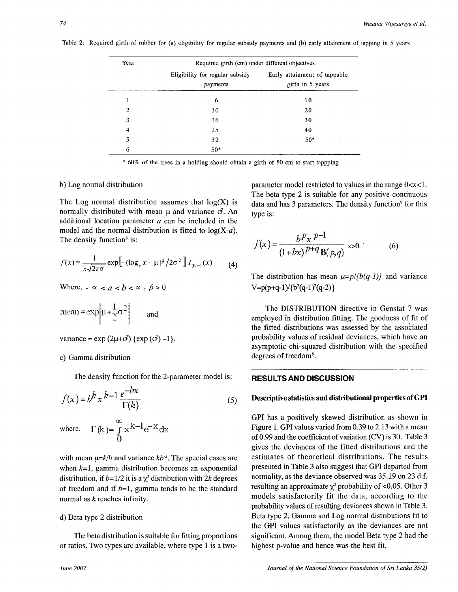Table 2: Required girth of rubber for (a) eligibility for regular subsidy payments and (b) early attainment of tapping in 5 years

| Year           | Required girth (cm) under different objectives |                                                  |
|----------------|------------------------------------------------|--------------------------------------------------|
|                | Eligibility for regular subsidy<br>payments    | Early attainment of tappable<br>girth in 5 years |
| 1              | 6                                              | 10                                               |
| $\overline{2}$ | 10                                             | 20                                               |
| 3              | 16                                             | 30                                               |
| 4              | 25                                             | 40                                               |
| 5              | 32                                             | $50*$<br>$\tilde{\phantom{a}}$                   |
| 6              | $50*$                                          |                                                  |

60% of the trees in a holding should obtain a girth of 50 cm to start tappping

#### b) Log normal distribution

The Log normal distribution assumes that  $log(X)$  is normally distributed with mean  $\mu$  and variance  $\sigma$ . An additional location parameter *a* can be included in the model and the normal distribution is fitted to  $log(X-a)$ . The density function<sup>8</sup> is:

$$
f(x) = \frac{1}{x\sqrt{2\pi\sigma}} \exp\left[-(\log_e x - \mu)^2 / 2\sigma^2\right] I_{(0,\infty)}(x) \tag{4}
$$

Where,  $-\alpha < a < b < \alpha$ ,  $\beta > 0$ 

$$
mean = \exp\left[\mu + \frac{1}{2}\sigma^2\right] \qquad \text{and} \qquad
$$

variance = 
$$
\exp(2\mu + \sigma^2)
$$
 {exp( $\sigma^2$ ) -1}.

#### c) Gamma distribution

The density function for the 2-parameter model is:

$$
f(x) = b^k x^{k-1} \frac{e^{-bx}}{\Gamma(k)}
$$
  
\nwhere,  $\Gamma(k) = \int_0^\infty x^{k-1} e^{-x} dx$  (5)

with mean  $\mu = k/b$  and variance  $kb^2$ . The special cases are when *k=l,* gamma distribution becomes an exponential distribution, if  $b=1/2$  it is a  $\chi^2$  distribution with 2k degrees of freedom and if *b-1,* gamma tends to be the standard normal as *k* reaches infinity.

## d) Beta type 2 distribution

The beta distribution is suitable for fitting proportions or ratios. Two types are available, where type 1 is a twoparameter model restricted to values in the range  $0 < x < 1$ . The beta type 2 is suitable for any positive continuous data and has 3 parameters. The density function<sup>9</sup> for this type is:

$$
f(x) = \frac{b^p x^{p-1}}{(1 + bx)^{p+q} B(p,q)} \, \text{x>0.}
$$
 (6)

The distribution has mean  $\mu=p/\{b(q-1)\}\$  and variance  $V=p(p+q-1)/{b^2(q-1)^2(q-2)}$ 

The DISTRIBUTION directive in Genstat 7 was employed in distribution fitting. The goodness of fit of the fitted distributions was assessed by the associated probability values of residual deviances, which have an asymptotic chi-squared distribution with the specified degrees of freedom<sup>9</sup>.

#### **RESULTS AND DISCUSSION**

## **Descriptive statistics and distributional properties of GPI**

**GPI** has a positively skewed distribution as shown in Figure 1. GPI values varied from 0.39 to 2.13 with a mean of 0.99 and the coefficient of variation (CV) is 30. Table 3 gives the deviances of the fitted distributions and the estimates of theoretical distributions. The results presented in Table 3 also suggest that GPI departed from normality, as the deviance observed was 35.19 on 23 d.f. resulting an approximate  $\chi^2$  probability of <0.05. Other 3 models satisfactorily fit the data, according to the probability values of resulting deviances shown in Table 3. Beta type 2, Gamma and Log normal distributions fit to the GPI values satisfactorily as the deviances are not significant. Among them, the model Beta type 2 had the highest p-value and hence was the best fit.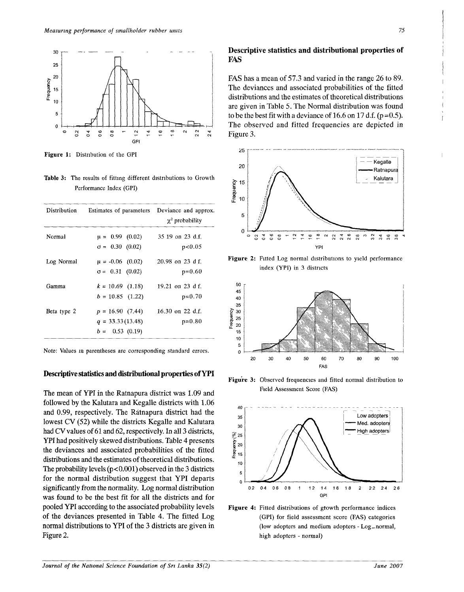

**Figure 1:** Distribution of the GPI

**Table 3:** The results of fitting different distributions to Growth Performance Index (GPI)

| Distribution | Estimates of parameters Deviance and approx. | $\chi^2$ probability |
|--------------|----------------------------------------------|----------------------|
| Normal       | $\mu = 0.99$ (0.02)                          | 35 19 on 23 d.f.     |
|              | $\sigma = 0.30$ (0.02)                       | p<0.05               |
| Log Normal   | $\mu = -0.06$ (0.02)                         | 20.98 on 23 d f.     |
|              | $\sigma = 0.31$ (0.02)                       | $p=0.60$             |
| Gamma        | $k = 10.69$ (1.18)                           | 19.21 on 23 d $f$ .  |
|              | $b = 10.85$ (1.22)                           | $p=0.70$             |
| Beta type 2  | $p = 16.90(7.44)$                            | 16.30 on 22 d.f.     |
|              | $q = 33.33(13.48)$                           | $p=0.80$             |
|              | $b = 0.53(0.19)$                             |                      |

Note: Values in parentheses are corresponding standard errors.

# **Descriptive statistics and distributional properties of YPI**

The mean of YPI in the Ratnapura district was 1.09 and followed by the Kalutara and Kegalle districts with 1.06 and 0.99, respectively. The Ratnapura district had the lowest CV (52) while the districts Kegalle and Kalutara had CV values of 61 and 62, respectively. In all 3 districts, YPI had positively skewed distributions. Table 4 presents the deviances and associated probabilities of the fitted distributions and the estimates of theoretical distributions. The probability levels (p< 0.001) observed in the 3 districts for the normal distribution suggest that **YPI** departs significantly from the normality. Log normal distribution was found to be the best fit for all the districts and for pooled **YPI** according to the associated probability levels of the deviances presented in Table 4. The fitted Log normal distributions to **YPI** of the 3 districts are given in Figure 2.

# **Descriptive statistics and distributional properties of FAS**

FAS has a mean of 57.3 and varied in the range 26 to 89. The deviances and associated probabilities of the fitted distributions and the estimates of theoretical distributions are given in Table 5. The Normal distribution was found to be the best fit with a deviance of 16.6 on 17 d.f. ( $p=0.5$ ). The observed and fitted frequencies are depicted in Figure 3.



**Figure** 2: Fitted Log normal distributions to yield performance index (YPI) in 3 districts



**Figure 3:** Observed frequencies and fitted normal distribution to Field Assessment Score (FAS)



**Figure 4:** Fitted distributions of growth performance indices (GPI) for field assessment score (FAS) categories (low adopters and medium adopters - Log\_normal, high adopters - normal)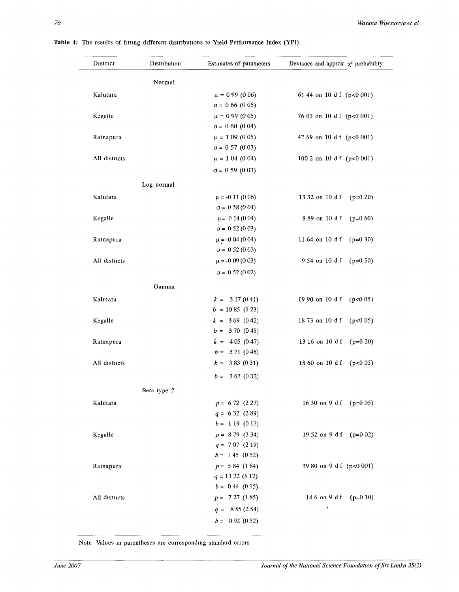| District      | Distribution | Estimates of parameters | Deviance and approx $\chi^2$ probability |
|---------------|--------------|-------------------------|------------------------------------------|
|               | Normal       |                         |                                          |
| Kalutara      |              | $\mu = 0.99$ (0.06)     | 61 44 on 10 d f (p<0 001)                |
|               |              | $\sigma = 0.66$ (0.05)  |                                          |
| Kegalle       |              | $\mu = 0.99$ (0.05)     | 76 03 on 10 d f (p<0 001)                |
|               |              | $\sigma = 0.60$ (0.04)  |                                          |
| Ratnapura     |              | $\mu = 109(005)$        | 47 69 on 10 d f (p<0 001)                |
|               |              | $\sigma = 0.57$ (0.03)  |                                          |
| All districts |              | $\mu = 104(004)$        | 100 2 on 10 d f $(p<0.001)$              |
|               |              | $\sigma = 0.59$ (0.03)  |                                          |
|               |              |                         |                                          |
|               | Log normal   |                         |                                          |
| Kalutara      |              | $\mu$ = -0 11 (0 06)    | 13 32 on 10 d f<br>$(p=0.20)$            |
|               |              | $\sigma = 0.58(0.04)$   |                                          |
| Kegalle       |              | $\mu$ = -0 14 (0 04)    | 889 on 10 d f<br>$(p=0.60)$              |
|               |              | $\sigma = 0.52(0.03)$   |                                          |
| Ratnapura     |              | $\mu$ = -0 04 (0 04)    | 11 64 on 10 d f<br>$(p=0.30)$            |
|               |              | $\sigma = 0.52(0.03)$   |                                          |
| All districts |              | $\mu$ = -0 09 (0 03)    | 954 on 10 d f<br>$(p=0.50)$              |
|               |              | $\sigma = 0.52(0.02)$   |                                          |
|               | Gamma        |                         |                                          |
| Kalutara      |              | $k = 317(041)$          | 19 90 on 10 d f $(p<0.05)$               |
|               |              | $b = 1085(123)$         |                                          |
| Kegalle       |              | $k = 369(042)$          | 18 73 on 10 d f<br>(p<0.05)              |
|               |              | $b = 370(045)$          |                                          |
| Ratnapura     |              | $k = 405(047)$          | 13 16 on 10 d f<br>$(p=0 20)$            |
|               |              | $b = 371(046)$          |                                          |
| All districts |              | $k = 383(031)$          | 18 60 on 10 d f<br>(p<0.05)              |
|               |              | $b = 367(032)$          |                                          |
|               | Beta type 2  |                         |                                          |
| Kalutara      |              | $p = 672(227)$          | 16 30 on 9 d f ( $p=0$ 05)               |
|               |              | $q = 632(289)$          |                                          |
|               |              | $b = 119(017)$          |                                          |
| Kegalle       |              | $p = 879(334)$          | 19 52 on 9 d f (p=0 02)                  |
|               |              | $q = 707(219)$          |                                          |
|               |              | $b = 145 (052)$         |                                          |
| Ratnapura     |              | $p = 584(184)$          | 39 80 on 9 d f (p<0 001)                 |
|               |              | $q = 1322(512)$         |                                          |
|               |              | $b = 0.44$ (0.15)       |                                          |
| All districts |              | $p = 727(185)$          | 14 6 on 9 d f (p=0 10)                   |
|               |              | $q = 855(254)$          | ٠                                        |
|               |              | $b = 0.92(0.52)$        |                                          |
|               |              |                         |                                          |

Note Values in parentheses are corresponding standard errors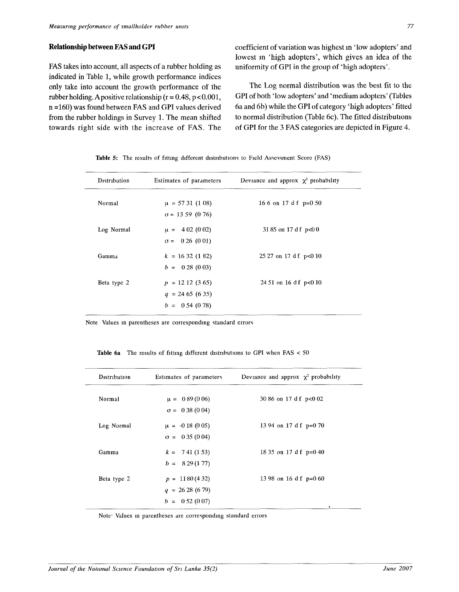# **Relationship between FAS and GPI**

FAS takes into account, all aspects of a rubber holding as indicated in Table 1, while growth performance indices only take into account the growth performance of the rubber holding. A positive relationship ( $r = 0.48$ ,  $p < 0.001$ , n =160) was found between FAS and GPI values derived from the rubber holdings in Survey 1. The mean shifted towards right side with the increase of FAS. The coefficient of variation was highest m 'low adopters' and lowest m 'high adopters', which gives an idea of the uniformity of GPI in the group of 'high adopters'.

The Log normal distribution was the best fit to the GPI of both 'low adopters' and 'medium adopters' (Tables 6a and 6b) while the GPI of category 'high adopters' fitted to normal distribution (Table 6c). The fitted distributions of GPI for the 3 FAS categories are depicted in Figure 4.

| Distribution | Estimates of parameters | Deviance and approx $\chi^2$ probability |
|--------------|-------------------------|------------------------------------------|
| Normal       | $\mu = 5731(108)$       | 16 6 on 17 d f $p=0.50$                  |
|              | $\sigma$ = 13 59 (0 76) |                                          |
| Log Normal   | $\mu = 402(002)$        | 31 85 on 17 d f p<0 0                    |
|              | $\sigma = 0.26$ (0.01)  |                                          |
| Gamma        | $k = 1632(182)$         | $25\ 27$ on 17 d f p<0 10                |
|              | $b = 0.28(0.03)$        |                                          |
| Beta type 2  | $p = 1212(365)$         | $2451$ on 16 d f p<0 10                  |
|              | $q = 2465(635)$         |                                          |
|              | $b = 0.54(0.78)$        |                                          |

Table 5: The results of fitting different distributions to Field Assessment Score (FAS)

Note Values in parentheses are corresponding standard errors

| <b>Table 6a</b> The results of fitting different distributions to GPI when $FAS < 50$ |  |  |  |  |  |  |  |
|---------------------------------------------------------------------------------------|--|--|--|--|--|--|--|
|---------------------------------------------------------------------------------------|--|--|--|--|--|--|--|

| Distribution | Estimates of parameters | Deviance and approx $\chi^2$ probability |
|--------------|-------------------------|------------------------------------------|
| Normal       | $\mu = 0.89(0.06)$      | 30 86 on 17 d f p<0 02                   |
|              | $\sigma = 0.38(0.04)$   |                                          |
| Log Normal   | $\mu = -0.18(0.05)$     | 13 94 on 17 d f $p=0$ 70                 |
|              | $\sigma = 0.35(0.04)$   |                                          |
| Gamma        | $k = 741(153)$          | 18 35 on 17 d f $p=0$ 40                 |
|              | $b = 829(177)$          |                                          |
| Beta type 2  | $p = 1180(432)$         | 13 98 on 16 d f $p=0$ 60                 |
|              | $q = 2628(679)$         |                                          |
|              | $b = 0.52(0.07)$        | ٠                                        |

Note- Values in parentheses are corresponding standard errors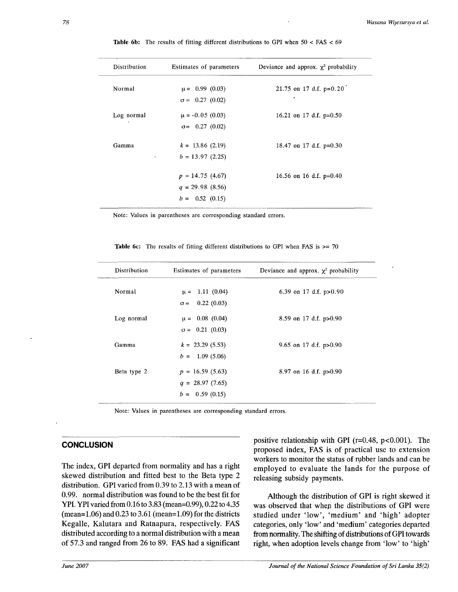| Estimates of parameters | Deviance and approx. $\chi^2$ probability |
|-------------------------|-------------------------------------------|
| $\mu = 0.99$ (0.03)     | 21.75 on 17 d.f. $p=0.20$                 |
| $\sigma = 0.27$ (0.02)  | ٠                                         |
| $\mu = -0.05$ (0.03)    | 16.21 on 17 d.f. $p=0.50$                 |
| $\sigma = 0.27$ (0.02)  |                                           |
| $k = 13.86$ (2.19)      | 18.47 on 17 d.f. $p=0.30$                 |
| $b = 13.97(2.25)$       |                                           |
| $p = 14.75(4.67)$       | 16.56 on 16 d.f. $p=0.40$                 |
| $q = 29.98(8.56)$       |                                           |
| $b = 0.52 \ (0.15)$     |                                           |
|                         |                                           |

**Table 6b;** The results of fitting different distributions to GPI when 50 < FAS < 69

Note: Values in parentheses are corresponding standard errors.

| Distribution | Estimates of parameters | Deviance and approx. $\chi^2$ probability |
|--------------|-------------------------|-------------------------------------------|
| Normal       | $\mu = 1.11(0.04)$      | 6.39 on 17 d.f. $p>0.90$                  |
|              | $\sigma = 0.22(0.03)$   |                                           |
| Log normal   | $\mu = 0.08$ (0.04)     | 8.59 on 17 d.f. $p>0.90$                  |
|              | $\sigma = 0.21$ (0.03)  |                                           |
| Gamma        | $k = 23.29(5.53)$       | 9.65 on 17 d.f. $p > 0.90$                |
|              | $b = 1.09(5.06)$        |                                           |
| Beta type 2  | $p = 16.59(5.63)$       | 8.97 on 16 d.f. $p>0.90$                  |
|              | $q = 28.97(7.65)$       |                                           |
|              | $b = 0.59(0.15)$        |                                           |

**Table 6c:** The results of fitting different distributions to GPI when FAS is  $>= 70$ 

Note: Values in parentheses are corresponding standard errors.

# **CONCLUSION**

The index, GPI departed from normality and has a right skewed distribution and fitted best to the Beta type 2 distribution. GPI varied from 0.39 to 2.13 with a mean of 0.99. normal distribution was found to be the best fit for YPI. YPI varied from 0.16 to 3.83 (mean=0.99), 0.22 to 4.35 (mean=1.06) and 0.23 to 3.61 (mean=1.09) for the districts Kegalle, Kalutara and Ratnapura, respectively. FAS distributed according to a normal distribution with a mean of 57.3 and ranged from 26 to 89. FAS had a significant

positive relationship with GPI ( $r=0.48$ ,  $p<0.001$ ). The proposed index, FAS is of practical use to extension workers to monitor the status of rubber lands and can be employed to evaluate the lands for the purpose of releasing subsidy payments.

Although the distribution of GPI is right skewed it was observed that when the distributions of GPI were studied under 'low', 'medium' and 'high' adopter categories, only 'low' and 'medium' categories departed from normality. The shifting of distributions of GPI towards right, when adoption levels change from 'low' to 'high'